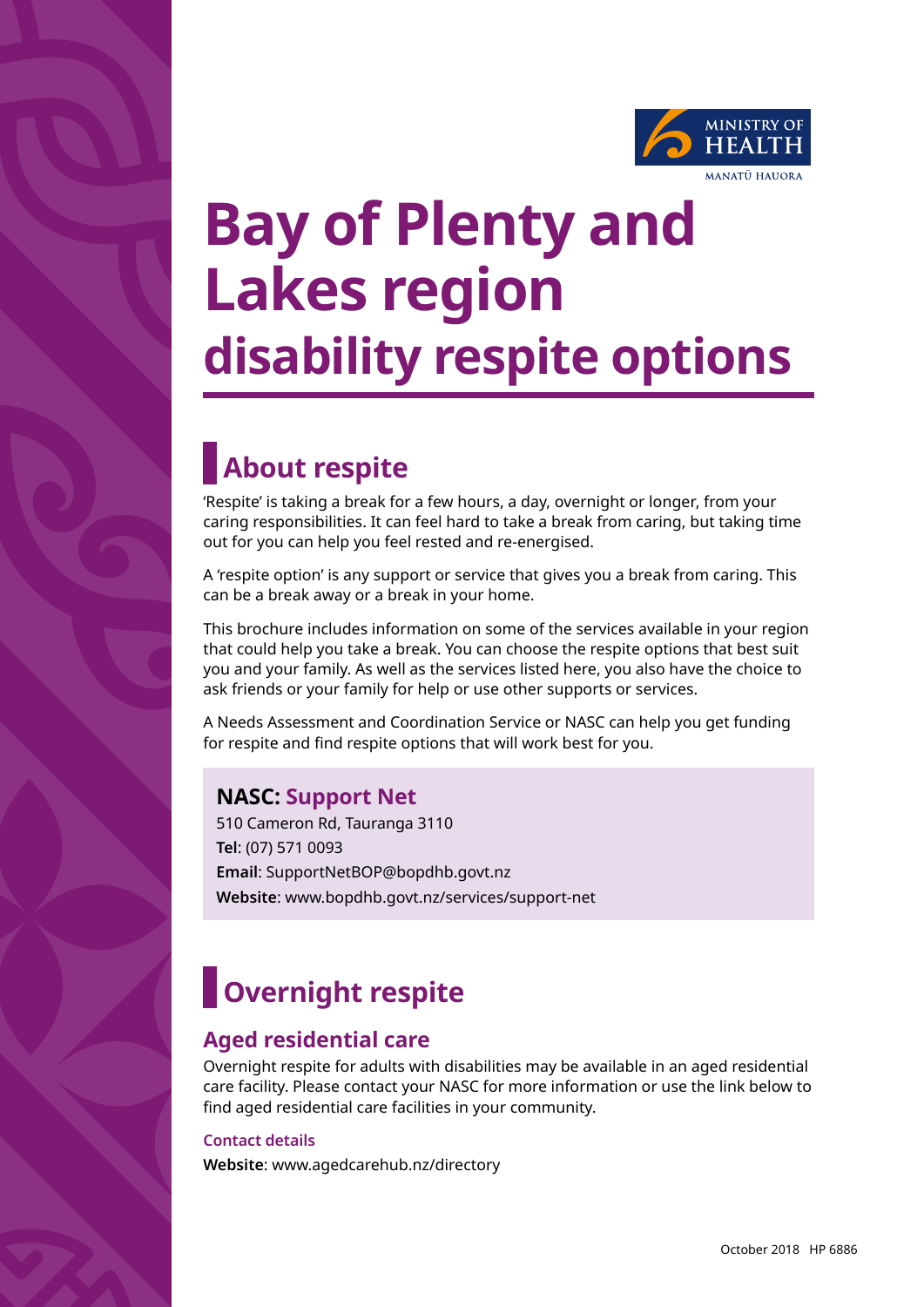

# **Bay of Plenty and Lakes region disability respite options**

## **About respite**

'Respite' is taking a break for a few hours, a day, overnight or longer, from your caring responsibilities. It can feel hard to take a break from caring, but taking time out for you can help you feel rested and re-energised.

A 'respite option' is any support or service that gives you a break from caring. This can be a break away or a break in your home.

This brochure includes information on some of the services available in your region that could help you take a break. You can choose the respite options that best suit you and your family. As well as the services listed here, you also have the choice to ask friends or your family for help or use other supports or services.

A Needs Assessment and Coordination Service or NASC can help you get funding for respite and find respite options that will work best for you.

## **NASC: Support Net**

510 Cameron Rd, Tauranga 3110 **Tel**: (07) 571 0093 **Email**: SupportNetBOP@bopdhb.govt.nz **Website**: www.bopdhb.govt.nz/services/support-net

## **Overnight respite**

### **Aged residential care**

Overnight respite for adults with disabilities may be available in an aged residential care facility. Please contact your NASC for more information or use the link below to find aged residential care facilities in your community.

#### **Contact details**

**Website**: www.agedcarehub.nz/directory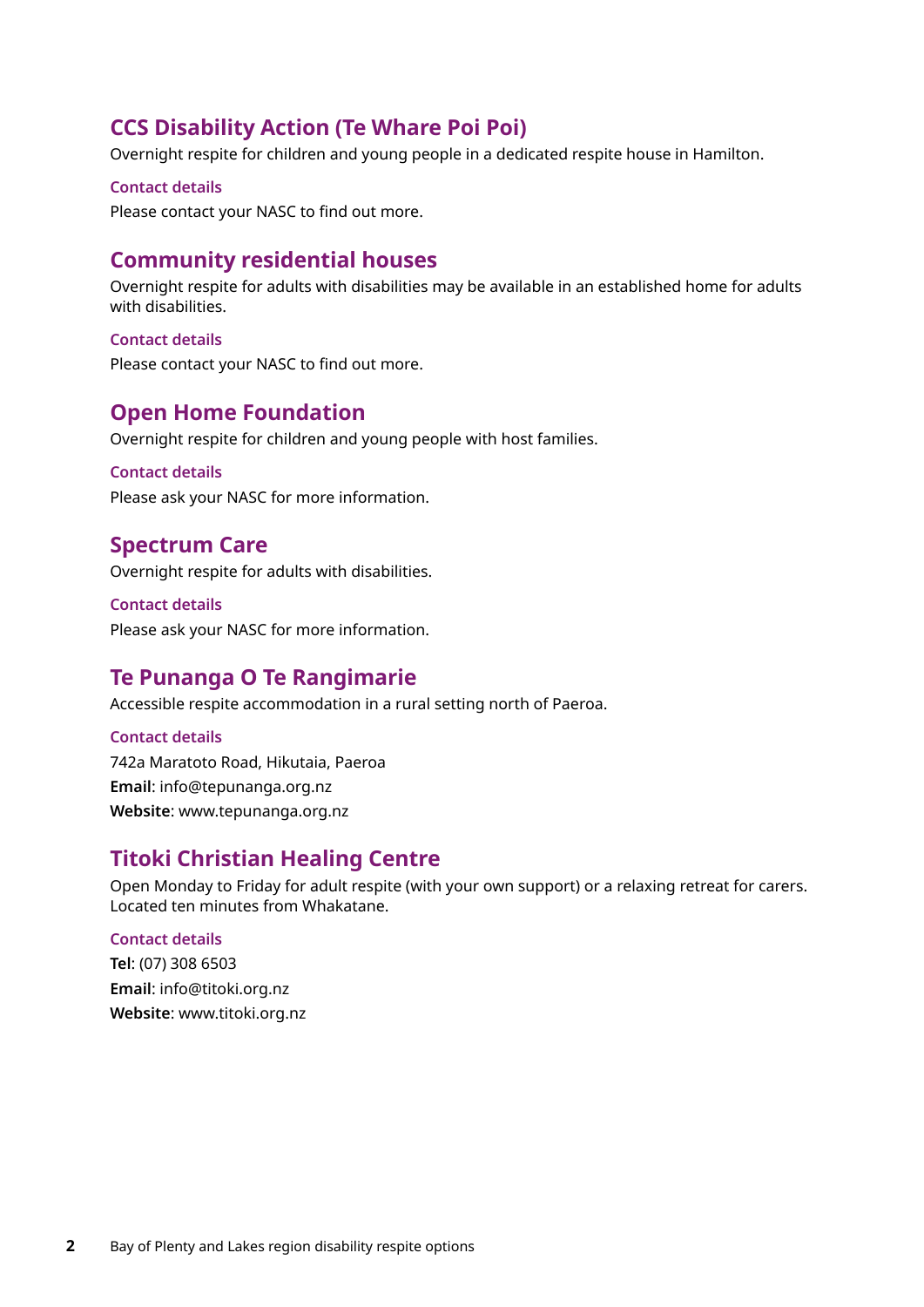## **CCS Disability Action (Te Whare Poi Poi)**

Overnight respite for children and young people in a dedicated respite house in Hamilton.

#### **Contact details**

Please contact your NASC to find out more.

## **Community residential houses**

Overnight respite for adults with disabilities may be available in an established home for adults with disabilities.

#### **Contact details**

Please contact your NASC to find out more.

### **Open Home Foundation**

Overnight respite for children and young people with host families.

#### **Contact details**

Please ask your NASC for more information.

### **Spectrum Care**

Overnight respite for adults with disabilities.

**Contact details** Please ask your NASC for more information.

## **Te Punanga O Te Rangimarie**

Accessible respite accommodation in a rural setting north of Paeroa.

**Contact details** 742a Maratoto Road, Hikutaia, Paeroa **Email**: info@tepunanga.org.nz **Website**: www.tepunanga.org.nz

## **Titoki Christian Healing Centre**

Open Monday to Friday for adult respite (with your own support) or a relaxing retreat for carers. Located ten minutes from Whakatane.

#### **Contact details**

**Tel**: (07) 308 6503 **Email**: info@titoki.org.nz **Website**: www.titoki.org.nz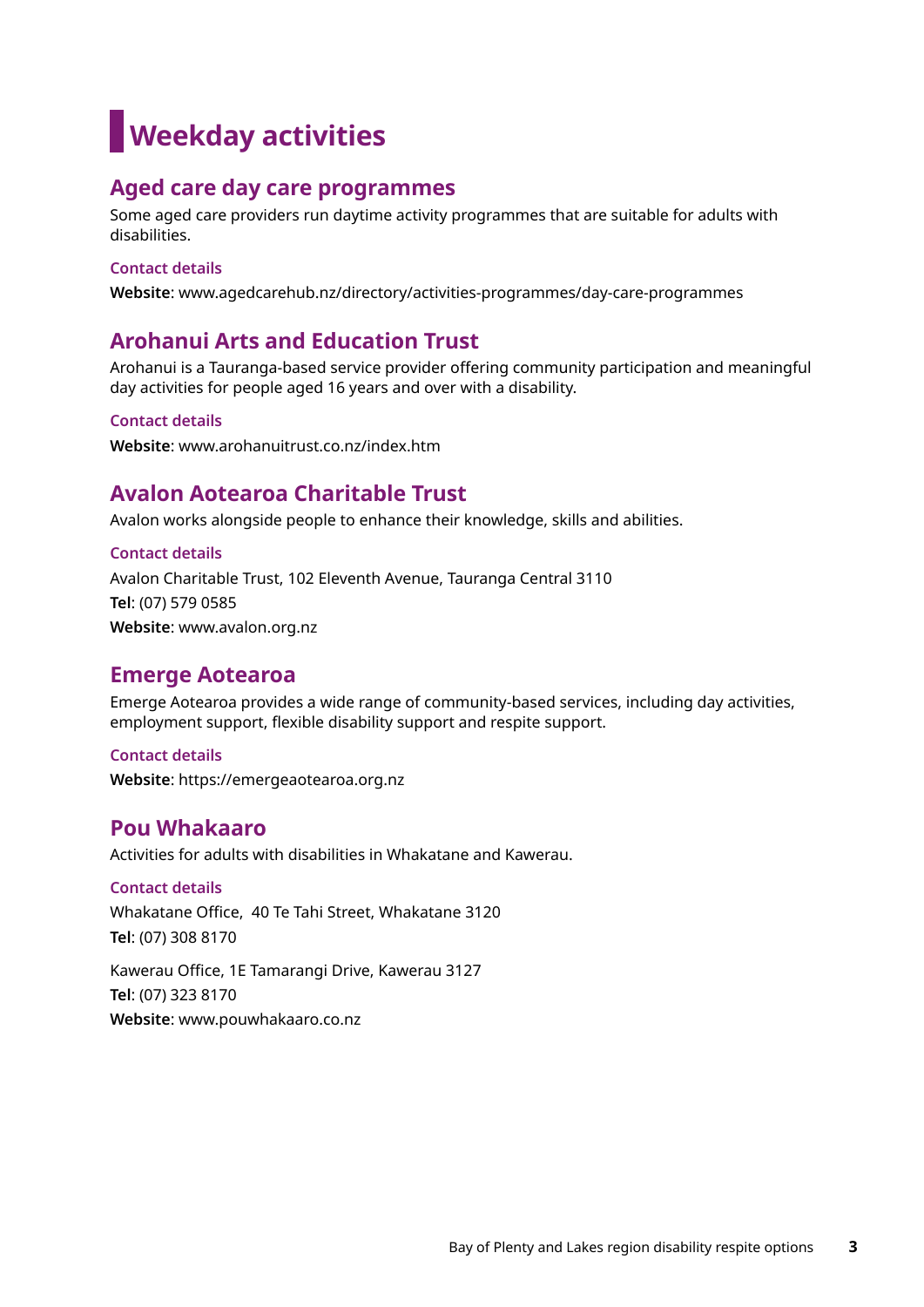## **Weekday activities**

## **Aged care day care programmes**

Some aged care providers run daytime activity programmes that are suitable for adults with disabilities.

#### **Contact details**

**Website**: www.agedcarehub.nz/directory/activities-programmes/day-care-programmes

## **Arohanui Arts and Education Trust**

Arohanui is a Tauranga-based service provider offering community participation and meaningful day activities for people aged 16 years and over with a disability.

#### **Contact details**

**Website**: www.arohanuitrust.co.nz/index.htm

## **Avalon Aotearoa Charitable Trust**

Avalon works alongside people to enhance their knowledge, skills and abilities.

**Contact details** Avalon Charitable Trust, 102 Eleventh Avenue, Tauranga Central 3110 **Tel**: (07) 579 0585 **Website**: www.avalon.org.nz

### **Emerge Aotearoa**

Emerge Aotearoa provides a wide range of community-based services, including day activities, employment support, flexible disability support and respite support.

**Contact details Website**: https://emergeaotearoa.org.nz

## **Pou Whakaaro**

Activities for adults with disabilities in Whakatane and Kawerau.

**Contact details** Whakatane Office, 40 Te Tahi Street, Whakatane 3120 **Tel**: (07) 308 8170

Kawerau Office, 1E Tamarangi Drive, Kawerau 3127 **Tel**: (07) 323 8170 **Website**: www.pouwhakaaro.co.nz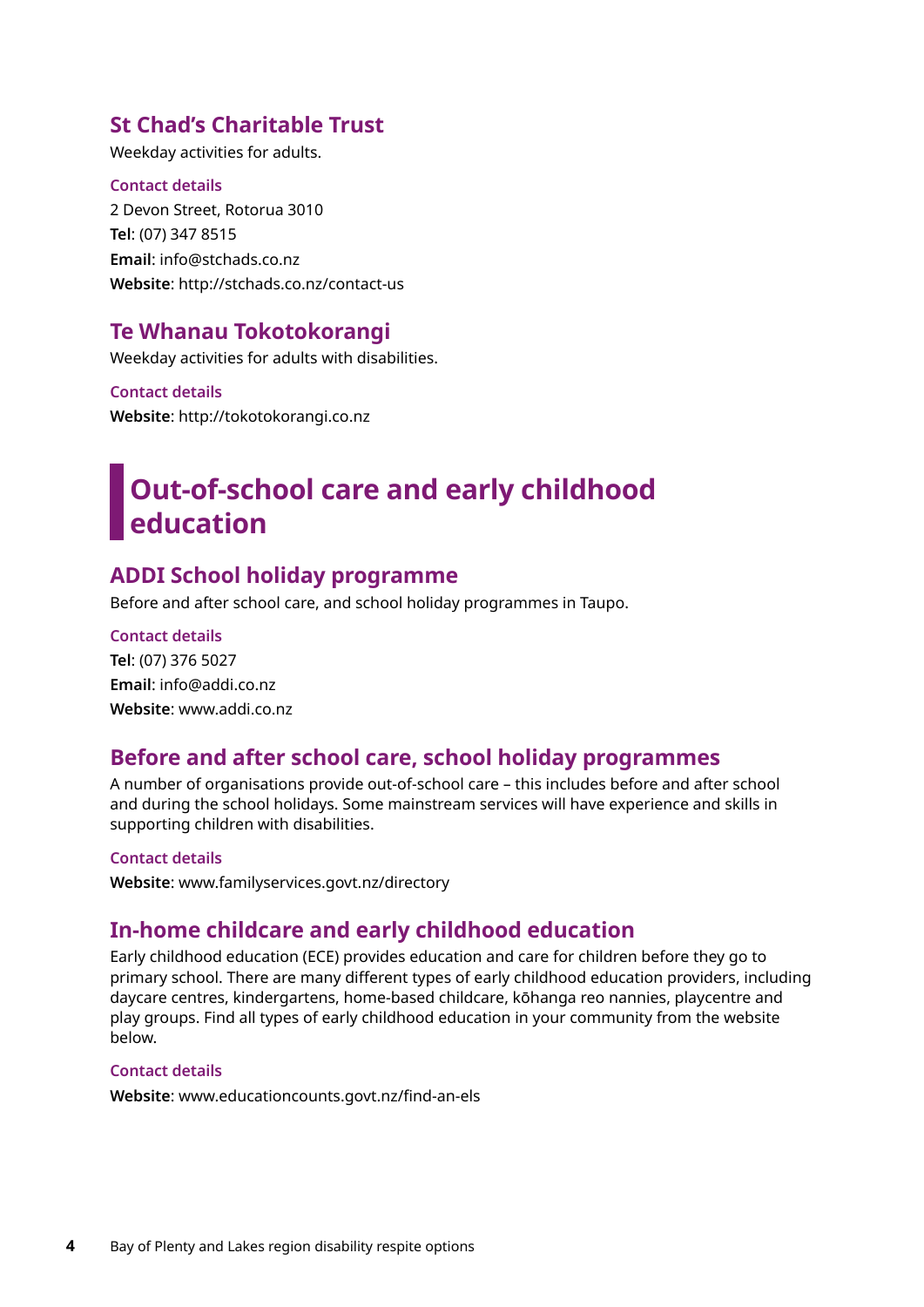## **St Chad's Charitable Trust**

Weekday activities for adults.

**Contact details** 2 Devon Street, Rotorua 3010 **Tel**: (07) 347 8515 **Email**: info@stchads.co.nz **Website**: http://stchads.co.nz/contact-us

## **Te Whanau Tokotokorangi**

Weekday activities for adults with disabilities.

**Contact details Website**: http://tokotokorangi.co.nz

## **Out-of-school care and early childhood education**

## **ADDI School holiday programme**

Before and after school care, and school holiday programmes in Taupo.

**Contact details Tel**: (07) 376 5027 **Email**: info@addi.co.nz **Website**: www.addi.co.nz

## **Before and after school care, school holiday programmes**

A number of organisations provide out-of-school care – this includes before and after school and during the school holidays. Some mainstream services will have experience and skills in supporting children with disabilities.

#### **Contact details**

**Website**: www.familyservices.govt.nz/directory

## **In-home childcare and early childhood education**

Early childhood education (ECE) provides education and care for children before they go to primary school. There are many different types of early childhood education providers, including daycare centres, kindergartens, home-based childcare, kōhanga reo nannies, playcentre and play groups. Find all types of early childhood education in your community from the website below.

#### **Contact details**

**Website**: www.educationcounts.govt.nz/find-an-els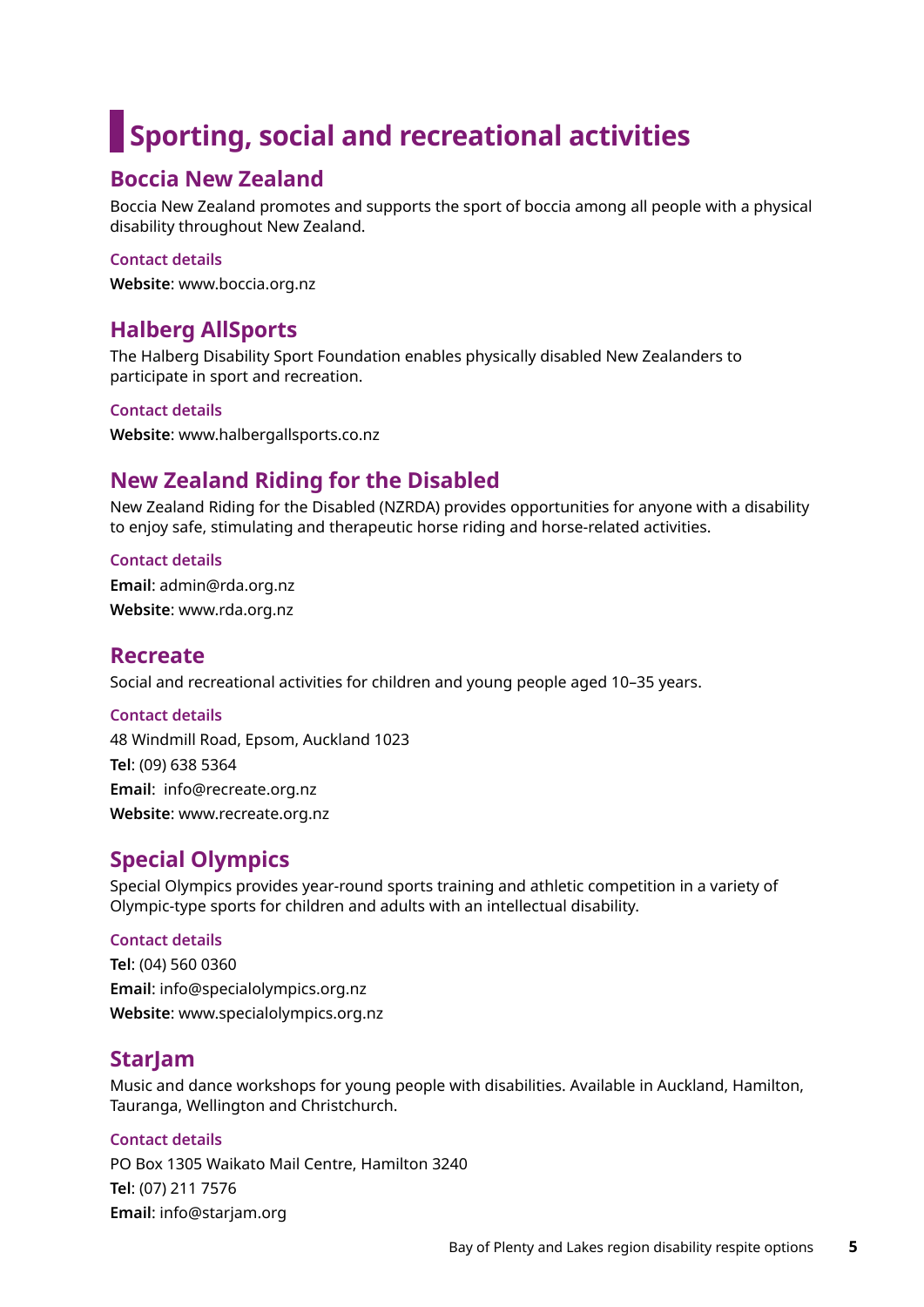## **Sporting, social and recreational activities**

## **Boccia New Zealand**

Boccia New Zealand promotes and supports the sport of boccia among all people with a physical disability throughout New Zealand.

#### **Contact details**

**Website**: www.boccia.org.nz

## **Halberg AllSports**

The Halberg Disability Sport Foundation enables physically disabled New Zealanders to participate in sport and recreation.

#### **Contact details**

**Website**: www.halbergallsports.co.nz

## **New Zealand Riding for the Disabled**

New Zealand Riding for the Disabled (NZRDA) provides opportunities for anyone with a disability to enjoy safe, stimulating and therapeutic horse riding and horse-related activities.

**Contact details Email**: admin@rda.org.nz **Website**: www.rda.org.nz

### **Recreate**

Social and recreational activities for children and young people aged 10–35 years.

#### **Contact details**

48 Windmill Road, Epsom, Auckland 1023 **Tel**: (09) 638 5364 **Email**: info@recreate.org.nz **Website**: www.recreate.org.nz

## **Special Olympics**

Special Olympics provides year-round sports training and athletic competition in a variety of Olympic-type sports for children and adults with an intellectual disability.

#### **Contact details**

**Tel**: (04) 560 0360 **Email**: info@specialolympics.org.nz **Website**: www.specialolympics.org.nz

## **StarJam**

Music and dance workshops for young people with disabilities. Available in Auckland, Hamilton, Tauranga, Wellington and Christchurch.

#### **Contact details**

PO Box 1305 Waikato Mail Centre, Hamilton 3240 **Tel**: (07) 211 7576 **Email**: info@starjam.org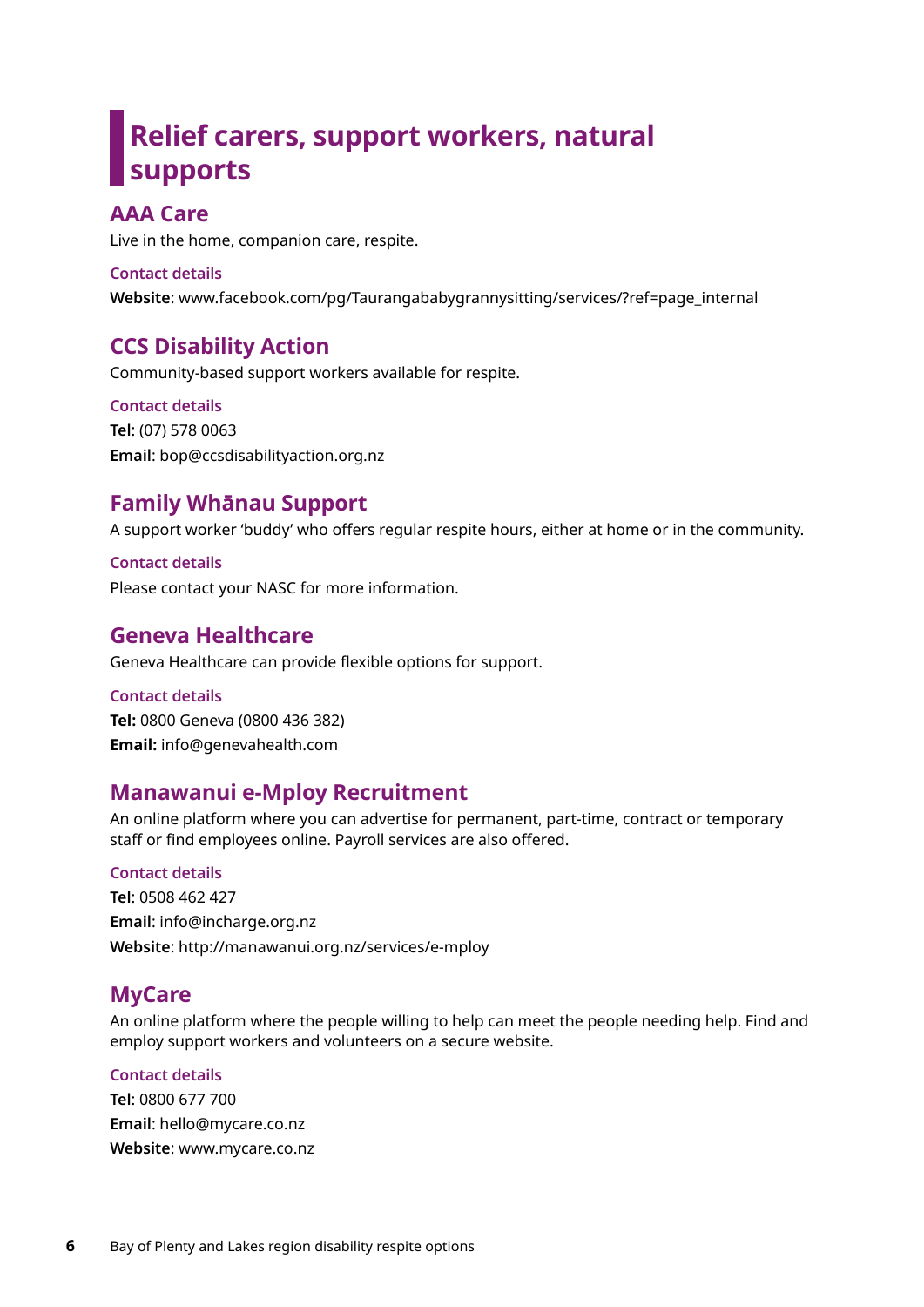## **Relief carers, support workers, natural supports**

## **AAA Care**

Live in the home, companion care, respite.

#### **Contact details**

**Website**: www.facebook.com/pg/Taurangababygrannysitting/services/?ref=page\_internal

## **CCS Disability Action**

Community-based support workers available for respite.

**Contact details Tel**: (07) 578 0063 **Email**: bop@ccsdisabilityaction.org.nz

## **Family Whānau Support**

A support worker 'buddy' who offers regular respite hours, either at home or in the community.

**Contact details** Please contact your NASC for more information.

## **Geneva Healthcare**

Geneva Healthcare can provide flexible options for support.

#### **Contact details**

**Tel:** 0800 Geneva (0800 436 382) **Email:** info@genevahealth.com

## **Manawanui e-Mploy Recruitment**

An online platform where you can advertise for permanent, part-time, contract or temporary staff or find employees online. Payroll services are also offered.

#### **Contact details**

**Tel**: 0508 462 427 **Email**: info@incharge.org.nz **Website**: http://manawanui.org.nz/services/e-mploy

## **MyCare**

An online platform where the people willing to help can meet the people needing help. Find and employ support workers and volunteers on a secure website.

#### **Contact details**

**Tel**: 0800 677 700 **Email**: hello@mycare.co.nz **Website**: www.mycare.co.nz